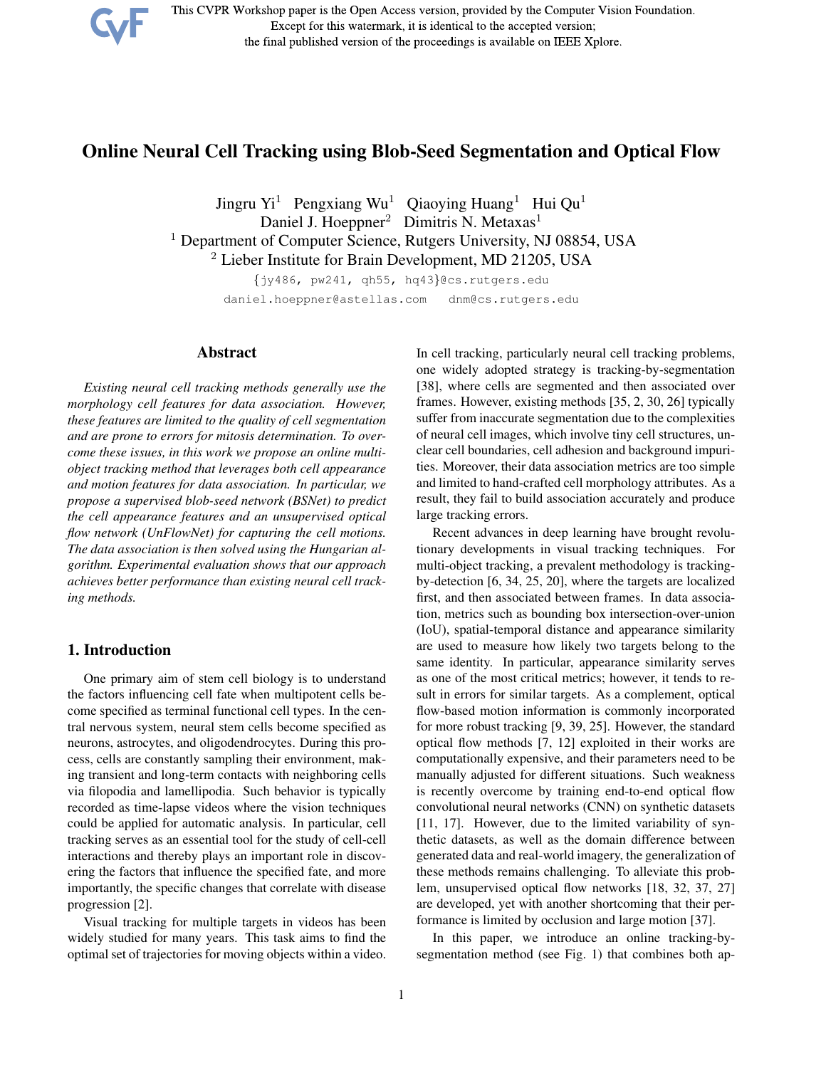

This CVPR Workshop paper is the Open Access version, provided by the Computer Vision Foundation. Except for this watermark, it is identical to the accepted version; the final published version of the proceedings is available on IEEE Xplore.

# Online Neural Cell Tracking using Blob-Seed Segmentation and Optical Flow

Jingru Yi<sup>1</sup> Pengxiang Wu<sup>1</sup> Qiaoying Huang<sup>1</sup> Hui Qu<sup>1</sup> Daniel J. Hoeppner<sup>2</sup> Dimitris N. Metaxas<sup>1</sup> <sup>1</sup> Department of Computer Science, Rutgers University, NJ 08854, USA <sup>2</sup> Lieber Institute for Brain Development, MD 21205, USA

> {jy486, pw241, qh55, hq43}@cs.rutgers.edu daniel.hoeppner@astellas.com dnm@cs.rutgers.edu

# Abstract

*Existing neural cell tracking methods generally use the morphology cell features for data association. However, these features are limited to the quality of cell segmentation and are prone to errors for mitosis determination. To overcome these issues, in this work we propose an online multiobject tracking method that leverages both cell appearance and motion features for data association. In particular, we propose a supervised blob-seed network (BSNet) to predict the cell appearance features and an unsupervised optical flow network (UnFlowNet) for capturing the cell motions. The data association is then solved using the Hungarian algorithm. Experimental evaluation shows that our approach achieves better performance than existing neural cell tracking methods.*

# 1. Introduction

One primary aim of stem cell biology is to understand the factors influencing cell fate when multipotent cells become specified as terminal functional cell types. In the central nervous system, neural stem cells become specified as neurons, astrocytes, and oligodendrocytes. During this process, cells are constantly sampling their environment, making transient and long-term contacts with neighboring cells via filopodia and lamellipodia. Such behavior is typically recorded as time-lapse videos where the vision techniques could be applied for automatic analysis. In particular, cell tracking serves as an essential tool for the study of cell-cell interactions and thereby plays an important role in discovering the factors that influence the specified fate, and more importantly, the specific changes that correlate with disease progression [2].

Visual tracking for multiple targets in videos has been widely studied for many years. This task aims to find the optimal set of trajectories for moving objects within a video.

In cell tracking, particularly neural cell tracking problems, one widely adopted strategy is tracking-by-segmentation [38], where cells are segmented and then associated over frames. However, existing methods [35, 2, 30, 26] typically suffer from inaccurate segmentation due to the complexities of neural cell images, which involve tiny cell structures, unclear cell boundaries, cell adhesion and background impurities. Moreover, their data association metrics are too simple and limited to hand-crafted cell morphology attributes. As a result, they fail to build association accurately and produce large tracking errors.

Recent advances in deep learning have brought revolutionary developments in visual tracking techniques. For multi-object tracking, a prevalent methodology is trackingby-detection [6, 34, 25, 20], where the targets are localized first, and then associated between frames. In data association, metrics such as bounding box intersection-over-union (IoU), spatial-temporal distance and appearance similarity are used to measure how likely two targets belong to the same identity. In particular, appearance similarity serves as one of the most critical metrics; however, it tends to result in errors for similar targets. As a complement, optical flow-based motion information is commonly incorporated for more robust tracking [9, 39, 25]. However, the standard optical flow methods [7, 12] exploited in their works are computationally expensive, and their parameters need to be manually adjusted for different situations. Such weakness is recently overcome by training end-to-end optical flow convolutional neural networks (CNN) on synthetic datasets [11, 17]. However, due to the limited variability of synthetic datasets, as well as the domain difference between generated data and real-world imagery, the generalization of these methods remains challenging. To alleviate this problem, unsupervised optical flow networks [18, 32, 37, 27] are developed, yet with another shortcoming that their performance is limited by occlusion and large motion [37].

In this paper, we introduce an online tracking-bysegmentation method (see Fig. 1) that combines both ap-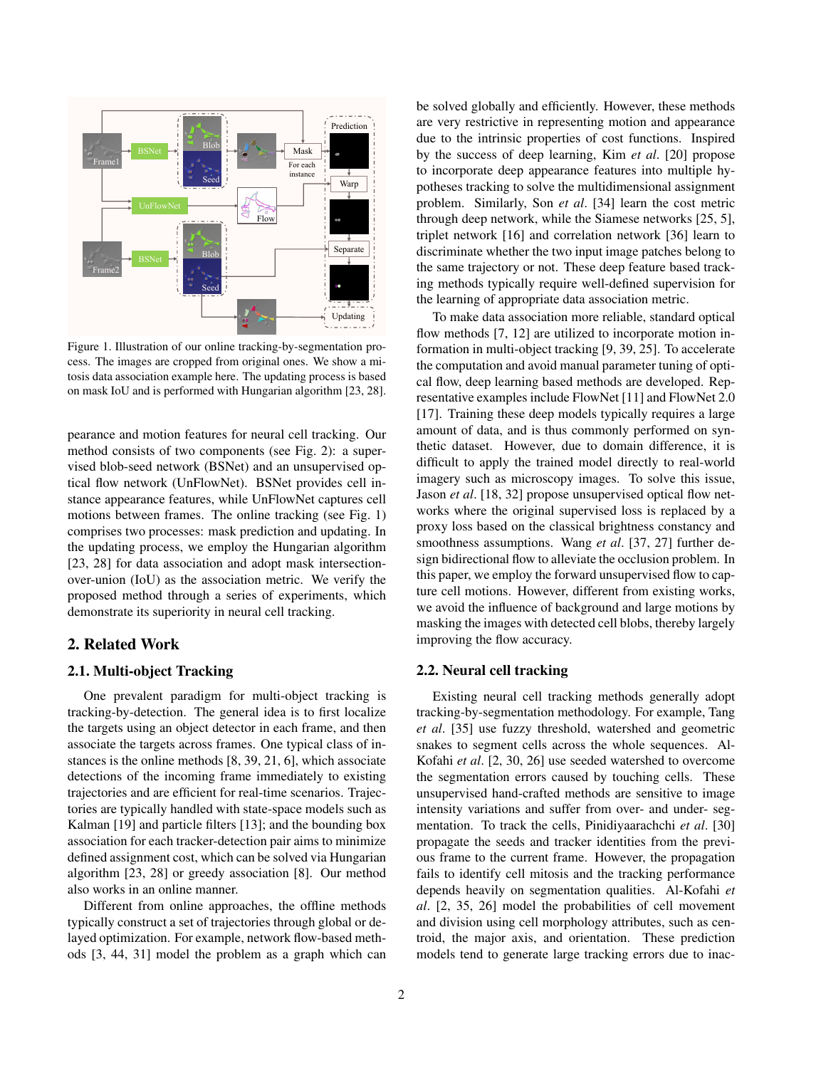

Figure 1. Illustration of our online tracking-by-segmentation process. The images are cropped from original ones. We show a mitosis data association example here. The updating process is based on mask IoU and is performed with Hungarian algorithm [23, 28].

pearance and motion features for neural cell tracking. Our method consists of two components (see Fig. 2): a supervised blob-seed network (BSNet) and an unsupervised optical flow network (UnFlowNet). BSNet provides cell instance appearance features, while UnFlowNet captures cell motions between frames. The online tracking (see Fig. 1) comprises two processes: mask prediction and updating. In the updating process, we employ the Hungarian algorithm [23, 28] for data association and adopt mask intersectionover-union (IoU) as the association metric. We verify the proposed method through a series of experiments, which demonstrate its superiority in neural cell tracking.

# 2. Related Work

# 2.1. Multi-object Tracking

One prevalent paradigm for multi-object tracking is tracking-by-detection. The general idea is to first localize the targets using an object detector in each frame, and then associate the targets across frames. One typical class of instances is the online methods [8, 39, 21, 6], which associate detections of the incoming frame immediately to existing trajectories and are efficient for real-time scenarios. Trajectories are typically handled with state-space models such as Kalman [19] and particle filters [13]; and the bounding box association for each tracker-detection pair aims to minimize defined assignment cost, which can be solved via Hungarian algorithm [23, 28] or greedy association [8]. Our method also works in an online manner.

Different from online approaches, the offline methods typically construct a set of trajectories through global or delayed optimization. For example, network flow-based methods [3, 44, 31] model the problem as a graph which can

be solved globally and efficiently. However, these methods are very restrictive in representing motion and appearance due to the intrinsic properties of cost functions. Inspired by the success of deep learning, Kim *et al*. [20] propose to incorporate deep appearance features into multiple hypotheses tracking to solve the multidimensional assignment problem. Similarly, Son *et al*. [34] learn the cost metric through deep network, while the Siamese networks [25, 5], triplet network [16] and correlation network [36] learn to discriminate whether the two input image patches belong to the same trajectory or not. These deep feature based tracking methods typically require well-defined supervision for the learning of appropriate data association metric.

To make data association more reliable, standard optical flow methods [7, 12] are utilized to incorporate motion information in multi-object tracking [9, 39, 25]. To accelerate the computation and avoid manual parameter tuning of optical flow, deep learning based methods are developed. Representative examples include FlowNet [11] and FlowNet 2.0 [17]. Training these deep models typically requires a large amount of data, and is thus commonly performed on synthetic dataset. However, due to domain difference, it is difficult to apply the trained model directly to real-world imagery such as microscopy images. To solve this issue, Jason *et al*. [18, 32] propose unsupervised optical flow networks where the original supervised loss is replaced by a proxy loss based on the classical brightness constancy and smoothness assumptions. Wang *et al*. [37, 27] further design bidirectional flow to alleviate the occlusion problem. In this paper, we employ the forward unsupervised flow to capture cell motions. However, different from existing works, we avoid the influence of background and large motions by masking the images with detected cell blobs, thereby largely improving the flow accuracy.

# 2.2. Neural cell tracking

Existing neural cell tracking methods generally adopt tracking-by-segmentation methodology. For example, Tang *et al*. [35] use fuzzy threshold, watershed and geometric snakes to segment cells across the whole sequences. Al-Kofahi *et al*. [2, 30, 26] use seeded watershed to overcome the segmentation errors caused by touching cells. These unsupervised hand-crafted methods are sensitive to image intensity variations and suffer from over- and under- segmentation. To track the cells, Pinidiyaarachchi *et al*. [30] propagate the seeds and tracker identities from the previous frame to the current frame. However, the propagation fails to identify cell mitosis and the tracking performance depends heavily on segmentation qualities. Al-Kofahi *et al*. [2, 35, 26] model the probabilities of cell movement and division using cell morphology attributes, such as centroid, the major axis, and orientation. These prediction models tend to generate large tracking errors due to inac-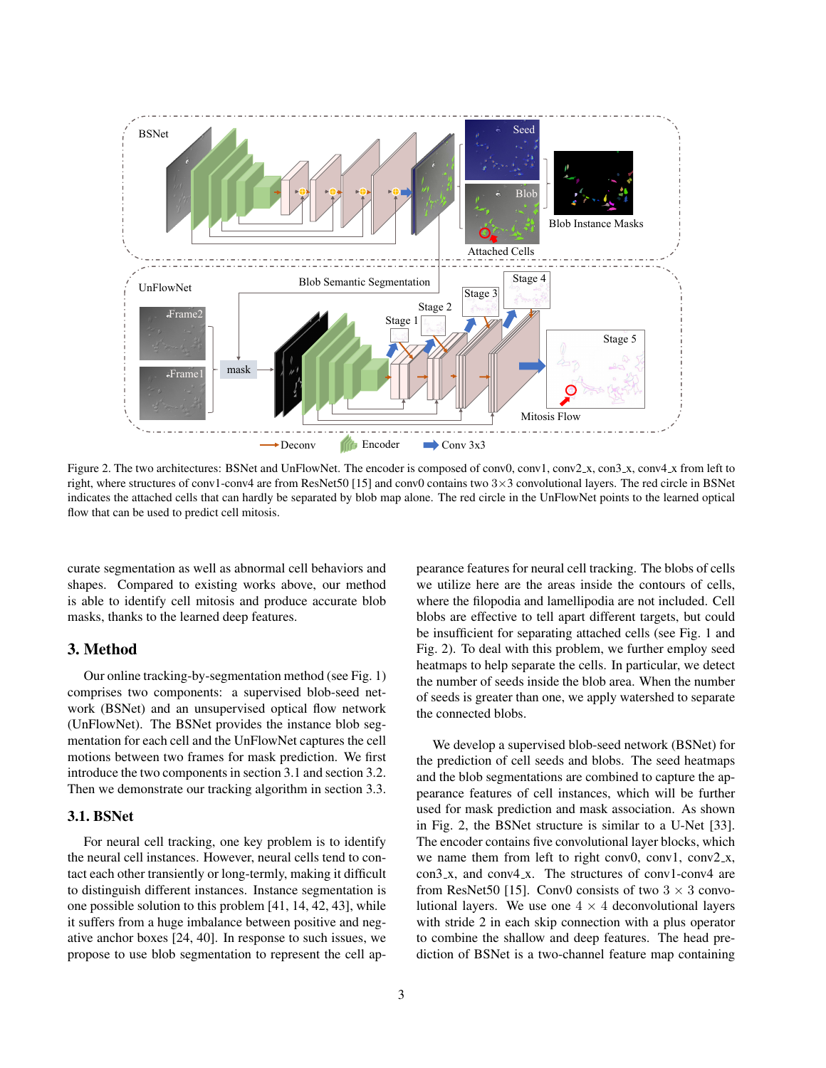

Figure 2. The two architectures: BSNet and UnFlowNet. The encoder is composed of conv0, conv1, conv2 x, con3 x, conv4 x from left to right, where structures of conv1-conv4 are from ResNet50 [15] and conv0 contains two 3×3 convolutional layers. The red circle in BSNet indicates the attached cells that can hardly be separated by blob map alone. The red circle in the UnFlowNet points to the learned optical flow that can be used to predict cell mitosis.

curate segmentation as well as abnormal cell behaviors and shapes. Compared to existing works above, our method is able to identify cell mitosis and produce accurate blob masks, thanks to the learned deep features.

# 3. Method

Our online tracking-by-segmentation method (see Fig. 1) comprises two components: a supervised blob-seed network (BSNet) and an unsupervised optical flow network (UnFlowNet). The BSNet provides the instance blob segmentation for each cell and the UnFlowNet captures the cell motions between two frames for mask prediction. We first introduce the two components in section 3.1 and section 3.2. Then we demonstrate our tracking algorithm in section 3.3.

# 3.1. BSNet

For neural cell tracking, one key problem is to identify the neural cell instances. However, neural cells tend to contact each other transiently or long-termly, making it difficult to distinguish different instances. Instance segmentation is one possible solution to this problem [41, 14, 42, 43], while it suffers from a huge imbalance between positive and negative anchor boxes [24, 40]. In response to such issues, we propose to use blob segmentation to represent the cell appearance features for neural cell tracking. The blobs of cells we utilize here are the areas inside the contours of cells, where the filopodia and lamellipodia are not included. Cell blobs are effective to tell apart different targets, but could be insufficient for separating attached cells (see Fig. 1 and Fig. 2). To deal with this problem, we further employ seed heatmaps to help separate the cells. In particular, we detect the number of seeds inside the blob area. When the number of seeds is greater than one, we apply watershed to separate the connected blobs.

We develop a supervised blob-seed network (BSNet) for the prediction of cell seeds and blobs. The seed heatmaps and the blob segmentations are combined to capture the appearance features of cell instances, which will be further used for mask prediction and mask association. As shown in Fig. 2, the BSNet structure is similar to a U-Net [33]. The encoder contains five convolutional layer blocks, which we name them from left to right conv0, conv1, conv2\_x, con3<sub>-x</sub>, and conv4<sub>-x</sub>. The structures of conv1-conv4 are from ResNet50 [15]. Conv0 consists of two  $3 \times 3$  convolutional layers. We use one  $4 \times 4$  deconvolutional layers with stride 2 in each skip connection with a plus operator to combine the shallow and deep features. The head prediction of BSNet is a two-channel feature map containing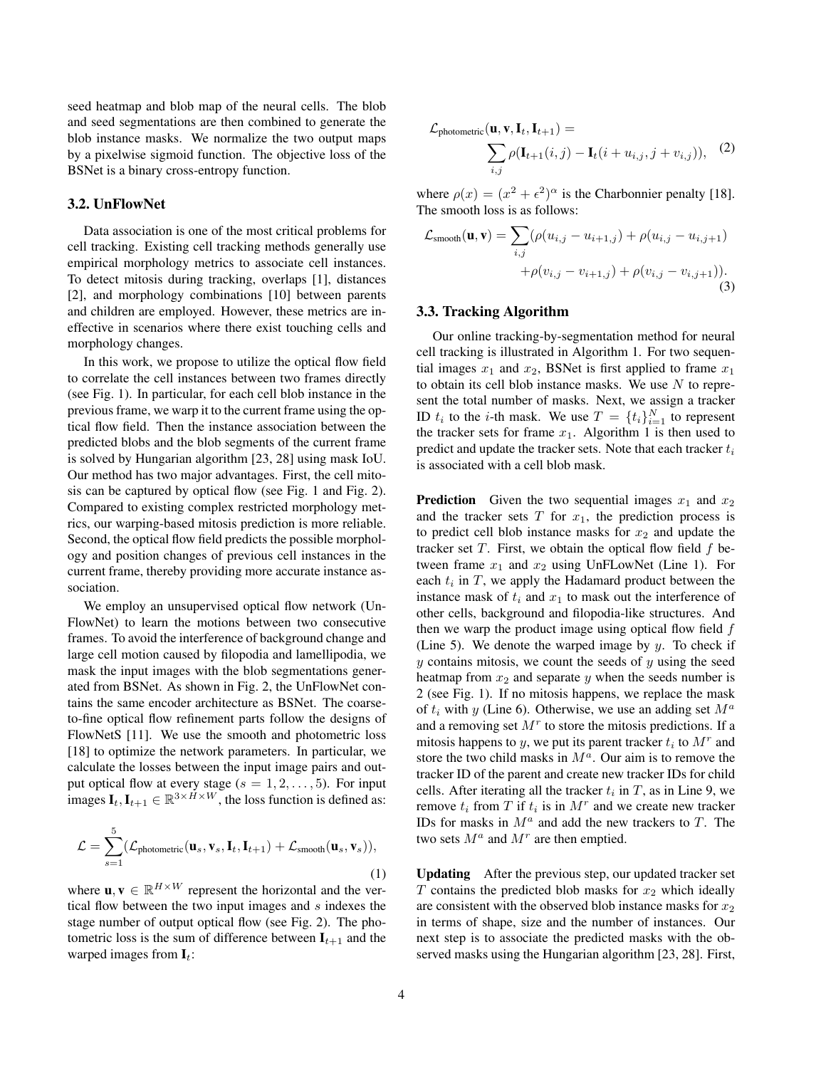seed heatmap and blob map of the neural cells. The blob and seed segmentations are then combined to generate the blob instance masks. We normalize the two output maps by a pixelwise sigmoid function. The objective loss of the BSNet is a binary cross-entropy function.

### 3.2. UnFlowNet

Data association is one of the most critical problems for cell tracking. Existing cell tracking methods generally use empirical morphology metrics to associate cell instances. To detect mitosis during tracking, overlaps [1], distances [2], and morphology combinations [10] between parents and children are employed. However, these metrics are ineffective in scenarios where there exist touching cells and morphology changes.

In this work, we propose to utilize the optical flow field to correlate the cell instances between two frames directly (see Fig. 1). In particular, for each cell blob instance in the previous frame, we warp it to the current frame using the optical flow field. Then the instance association between the predicted blobs and the blob segments of the current frame is solved by Hungarian algorithm [23, 28] using mask IoU. Our method has two major advantages. First, the cell mitosis can be captured by optical flow (see Fig. 1 and Fig. 2). Compared to existing complex restricted morphology metrics, our warping-based mitosis prediction is more reliable. Second, the optical flow field predicts the possible morphology and position changes of previous cell instances in the current frame, thereby providing more accurate instance association.

We employ an unsupervised optical flow network (Un-FlowNet) to learn the motions between two consecutive frames. To avoid the interference of background change and large cell motion caused by filopodia and lamellipodia, we mask the input images with the blob segmentations generated from BSNet. As shown in Fig. 2, the UnFlowNet contains the same encoder architecture as BSNet. The coarseto-fine optical flow refinement parts follow the designs of FlowNetS [11]. We use the smooth and photometric loss [18] to optimize the network parameters. In particular, we calculate the losses between the input image pairs and output optical flow at every stage  $(s = 1, 2, \ldots, 5)$ . For input images  $I_t, I_{t+1} \in \mathbb{R}^{3 \times H \times W}$ , the loss function is defined as:

$$
\mathcal{L} = \sum_{s=1}^{5} (\mathcal{L}_{\text{photometric}}(\mathbf{u}_s, \mathbf{v}_s, \mathbf{I}_t, \mathbf{I}_{t+1}) + \mathcal{L}_{\text{smooth}}(\mathbf{u}_s, \mathbf{v}_s)),
$$
\n(1)

where  $\mathbf{u}, \mathbf{v} \in \mathbb{R}^{H \times W}$  represent the horizontal and the vertical flow between the two input images and  $s$  indexes the stage number of output optical flow (see Fig. 2). The photometric loss is the sum of difference between  $I_{t+1}$  and the warped images from  $\mathbf{I}_t$ :

$$
\mathcal{L}_{\text{photometric}}(\mathbf{u}, \mathbf{v}, \mathbf{I}_t, \mathbf{I}_{t+1}) = \sum_{i,j} \rho(\mathbf{I}_{t+1}(i,j) - \mathbf{I}_t(i + u_{i,j}, j + v_{i,j})), \quad (2)
$$

where  $\rho(x) = (x^2 + \epsilon^2)^{\alpha}$  is the Charbonnier penalty [18]. The smooth loss is as follows:

$$
\mathcal{L}_{\text{smooth}}(\mathbf{u}, \mathbf{v}) = \sum_{i,j} (\rho(u_{i,j} - u_{i+1,j}) + \rho(u_{i,j} - u_{i,j+1}) + \rho(v_{i,j} - v_{i+1,j}) + \rho(v_{i,j} - v_{i,j+1})).
$$
\n(3)

#### 3.3. Tracking Algorithm

Our online tracking-by-segmentation method for neural cell tracking is illustrated in Algorithm 1. For two sequential images  $x_1$  and  $x_2$ , BSNet is first applied to frame  $x_1$ to obtain its cell blob instance masks. We use  $N$  to represent the total number of masks. Next, we assign a tracker ID  $t_i$  to the *i*-th mask. We use  $T = \{t_i\}_{i=1}^N$  to represent the tracker sets for frame  $x_1$ . Algorithm 1 is then used to predict and update the tracker sets. Note that each tracker  $t_i$ is associated with a cell blob mask.

**Prediction** Given the two sequential images  $x_1$  and  $x_2$ and the tracker sets  $T$  for  $x_1$ , the prediction process is to predict cell blob instance masks for  $x_2$  and update the tracker set  $T$ . First, we obtain the optical flow field  $f$  between frame  $x_1$  and  $x_2$  using UnFLowNet (Line 1). For each  $t_i$  in  $T$ , we apply the Hadamard product between the instance mask of  $t_i$  and  $x_1$  to mask out the interference of other cells, background and filopodia-like structures. And then we warp the product image using optical flow field  $f$ (Line 5). We denote the warped image by  $y$ . To check if  $y$  contains mitosis, we count the seeds of  $y$  using the seed heatmap from  $x_2$  and separate y when the seeds number is 2 (see Fig. 1). If no mitosis happens, we replace the mask of  $t_i$  with y (Line 6). Otherwise, we use an adding set  $M^a$ and a removing set  $M<sup>r</sup>$  to store the mitosis predictions. If a mitosis happens to y, we put its parent tracker  $t_i$  to  $M^r$  and store the two child masks in  $M^a$ . Our aim is to remove the tracker ID of the parent and create new tracker IDs for child cells. After iterating all the tracker  $t_i$  in  $T$ , as in Line 9, we remove  $t_i$  from T if  $t_i$  is in  $M^r$  and we create new tracker IDs for masks in  $M^a$  and add the new trackers to T. The two sets  $M^a$  and  $M^r$  are then emptied.

Updating After the previous step, our updated tracker set  $T$  contains the predicted blob masks for  $x_2$  which ideally are consistent with the observed blob instance masks for  $x_2$ in terms of shape, size and the number of instances. Our next step is to associate the predicted masks with the observed masks using the Hungarian algorithm [23, 28]. First,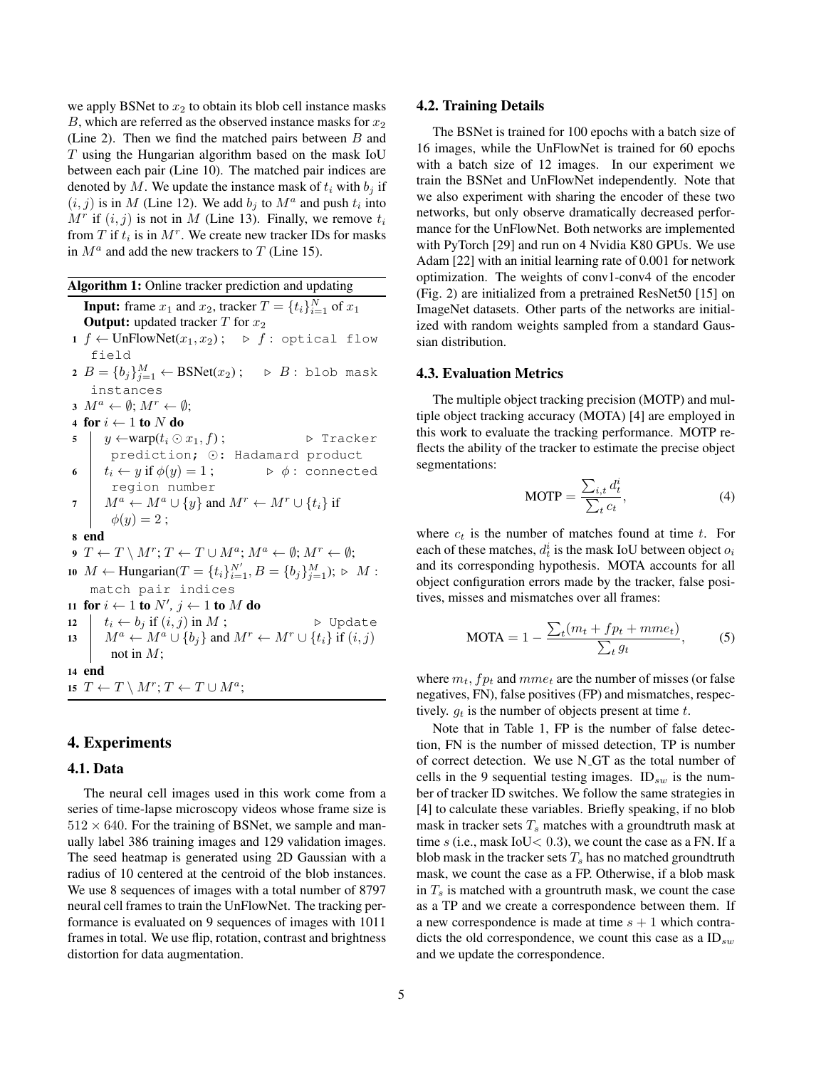we apply BSNet to  $x_2$  to obtain its blob cell instance masks B, which are referred as the observed instance masks for  $x_2$ (Line 2). Then we find the matched pairs between  $B$  and T using the Hungarian algorithm based on the mask IoU between each pair (Line 10). The matched pair indices are denoted by M. We update the instance mask of  $t_i$  with  $b_i$  if  $(i, j)$  is in M (Line 12). We add  $b_j$  to  $M^a$  and push  $t_i$  into  $M<sup>r</sup>$  if  $(i, j)$  is not in M (Line 13). Finally, we remove  $t<sub>i</sub>$ from T if  $t_i$  is in  $M^r$ . We create new tracker IDs for masks in  $M^a$  and add the new trackers to T (Line 15).

Algorithm 1: Online tracker prediction and updating **Input:** frame  $x_1$  and  $x_2$ , tracker  $T = \{t_i\}_{i=1}^N$  of  $x_1$ **Output:** updated tracker  $T$  for  $x_2$ 1 f ← UnFlowNet( $x_1, x_2$ ); ⊳ f : optical flow field  $2$   $B = \{b_j\}_{j=1}^M \leftarrow \text{BSNet}(x_2)$ ;  $\triangleright$   $B$ : blob mask instances  $3 M^a \leftarrow \emptyset; M^r \leftarrow \emptyset;$ 4 for  $i \leftarrow 1$  to  $N$  do 5  $y \leftarrow \text{warp}(t_i \odot x_1, f);$   $\triangleright$  Tracker prediction; ⊙: Hadamard product 6  $t_i \leftarrow y$  if  $\phi(y) = 1$ ;  $\phi$ : connected region number 7  $M^a \leftarrow M^a \cup \{y\}$  and  $M^r \leftarrow M^r \cup \{t_i\}$  if  $\phi(y) = 2;$ 8 end 9  $T \leftarrow T \setminus M^r$ ;  $T \leftarrow T \cup M^a$ ;  $M^a \leftarrow \emptyset$ ;  $M^r \leftarrow \emptyset$ ; 10  $M \leftarrow$  Hungarian( $T = \{t_i\}_{i=1}^{N'}$ ,  $B = \{b_j\}_{j=1}^{M}$ );  $\triangleright M$ : match pair indices 11 for  $i \leftarrow 1$  to  $N', j \leftarrow 1$  to M do 12  $t_i \leftarrow b_j$  if  $(i, j)$  in  $M$ ;  $\triangleright$  Update 13  $M^a \leftarrow M^a \cup \{b_i\}$  and  $M^r \leftarrow M^r \cup \{t_i\}$  if  $(i, j)$ not in  $M$ ; 14 end 15  $T \leftarrow T \setminus M^r; T \leftarrow T \cup M^a;$ 

# 4. Experiments

# 4.1. Data

The neural cell images used in this work come from a series of time-lapse microscopy videos whose frame size is  $512 \times 640$ . For the training of BSNet, we sample and manually label 386 training images and 129 validation images. The seed heatmap is generated using 2D Gaussian with a radius of 10 centered at the centroid of the blob instances. We use 8 sequences of images with a total number of 8797 neural cell frames to train the UnFlowNet. The tracking performance is evaluated on 9 sequences of images with 1011 frames in total. We use flip, rotation, contrast and brightness distortion for data augmentation.

#### 4.2. Training Details

The BSNet is trained for 100 epochs with a batch size of 16 images, while the UnFlowNet is trained for 60 epochs with a batch size of 12 images. In our experiment we train the BSNet and UnFlowNet independently. Note that we also experiment with sharing the encoder of these two networks, but only observe dramatically decreased performance for the UnFlowNet. Both networks are implemented with PyTorch [29] and run on 4 Nvidia K80 GPUs. We use Adam [22] with an initial learning rate of 0.001 for network optimization. The weights of conv1-conv4 of the encoder (Fig. 2) are initialized from a pretrained ResNet50 [15] on ImageNet datasets. Other parts of the networks are initialized with random weights sampled from a standard Gaussian distribution.

#### 4.3. Evaluation Metrics

The multiple object tracking precision (MOTP) and multiple object tracking accuracy (MOTA) [4] are employed in this work to evaluate the tracking performance. MOTP reflects the ability of the tracker to estimate the precise object segmentations:

$$
MOTP = \frac{\sum_{i,t} d_t^i}{\sum_t c_t},\tag{4}
$$

where  $c_t$  is the number of matches found at time t. For each of these matches,  $d_t^i$  is the mask IoU between object  $o_i$ and its corresponding hypothesis. MOTA accounts for all object configuration errors made by the tracker, false positives, misses and mismatches over all frames:

$$
MOTA = 1 - \frac{\sum_{t} (m_t + fp_t + mme_t)}{\sum_{t} g_t},
$$
 (5)

where  $m_t$ ,  $fp_t$  and  $mme_t$  are the number of misses (or false negatives, FN), false positives (FP) and mismatches, respectively.  $q_t$  is the number of objects present at time t.

Note that in Table 1, FP is the number of false detection, FN is the number of missed detection, TP is number of correct detection. We use N<sub>-GT</sub> as the total number of cells in the 9 sequential testing images.  $ID_{sw}$  is the number of tracker ID switches. We follow the same strategies in [4] to calculate these variables. Briefly speaking, if no blob mask in tracker sets  $T_s$  matches with a groundtruth mask at time s (i.e., mask IoU  $< 0.3$ ), we count the case as a FN. If a blob mask in the tracker sets  $T_s$  has no matched groundtruth mask, we count the case as a FP. Otherwise, if a blob mask in  $T<sub>s</sub>$  is matched with a grountruth mask, we count the case as a TP and we create a correspondence between them. If a new correspondence is made at time  $s + 1$  which contradicts the old correspondence, we count this case as a  $ID_{sw}$ and we update the correspondence.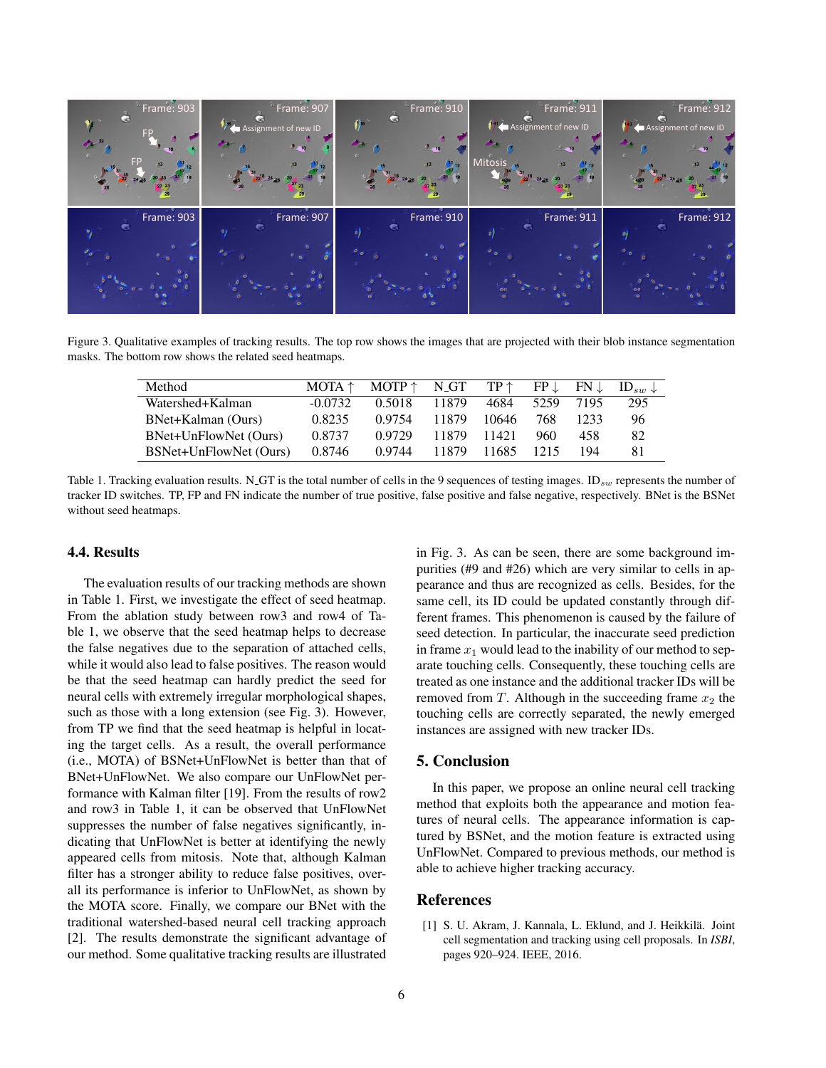

Figure 3. Qualitative examples of tracking results. The top row shows the images that are projected with their blob instance segmentation masks. The bottom row shows the related seed heatmaps.

| Method                 | $MOTA \uparrow$ | $MOTP \uparrow$ | N <sub>-GT</sub> | $TP \uparrow$ | $FP \downarrow$ | $FN \perp$ | $ID_{sw} \downarrow$ |
|------------------------|-----------------|-----------------|------------------|---------------|-----------------|------------|----------------------|
| Watershed+Kalman       | $-0.0732$       | 0.5018          | 11879            | 4684          | 5259            | 7195       | 295                  |
| BNet+Kalman (Ours)     | 0.8235          | 0.9754          | 11879            | 10646         | 768             | 1233       | 96                   |
| BNet+UnFlowNet (Ours)  | 0.8737          | 0.9729          | 11879            | 11421         | 960             | 458        | 82                   |
| BSNet+UnFlowNet (Ours) | 0.8746          | 0.9744          | 11879            | 11685         | 1215            | 194        | 81                   |

Table 1. Tracking evaluation results. N\_GT is the total number of cells in the 9 sequences of testing images.  $ID_{sw}$  represents the number of tracker ID switches. TP, FP and FN indicate the number of true positive, false positive and false negative, respectively. BNet is the BSNet without seed heatmaps.

# 4.4. Results

The evaluation results of our tracking methods are shown in Table 1. First, we investigate the effect of seed heatmap. From the ablation study between row3 and row4 of Table 1, we observe that the seed heatmap helps to decrease the false negatives due to the separation of attached cells, while it would also lead to false positives. The reason would be that the seed heatmap can hardly predict the seed for neural cells with extremely irregular morphological shapes, such as those with a long extension (see Fig. 3). However, from TP we find that the seed heatmap is helpful in locating the target cells. As a result, the overall performance (i.e., MOTA) of BSNet+UnFlowNet is better than that of BNet+UnFlowNet. We also compare our UnFlowNet performance with Kalman filter [19]. From the results of row2 and row3 in Table 1, it can be observed that UnFlowNet suppresses the number of false negatives significantly, indicating that UnFlowNet is better at identifying the newly appeared cells from mitosis. Note that, although Kalman filter has a stronger ability to reduce false positives, overall its performance is inferior to UnFlowNet, as shown by the MOTA score. Finally, we compare our BNet with the traditional watershed-based neural cell tracking approach [2]. The results demonstrate the significant advantage of our method. Some qualitative tracking results are illustrated

in Fig. 3. As can be seen, there are some background impurities (#9 and #26) which are very similar to cells in appearance and thus are recognized as cells. Besides, for the same cell, its ID could be updated constantly through different frames. This phenomenon is caused by the failure of seed detection. In particular, the inaccurate seed prediction in frame  $x_1$  would lead to the inability of our method to separate touching cells. Consequently, these touching cells are treated as one instance and the additional tracker IDs will be removed from T. Although in the succeeding frame  $x_2$  the touching cells are correctly separated, the newly emerged instances are assigned with new tracker IDs.

# 5. Conclusion

In this paper, we propose an online neural cell tracking method that exploits both the appearance and motion features of neural cells. The appearance information is captured by BSNet, and the motion feature is extracted using UnFlowNet. Compared to previous methods, our method is able to achieve higher tracking accuracy.

# References

[1] S. U. Akram, J. Kannala, L. Eklund, and J. Heikkilä. Joint cell segmentation and tracking using cell proposals. In *ISBI*, pages 920–924. IEEE, 2016.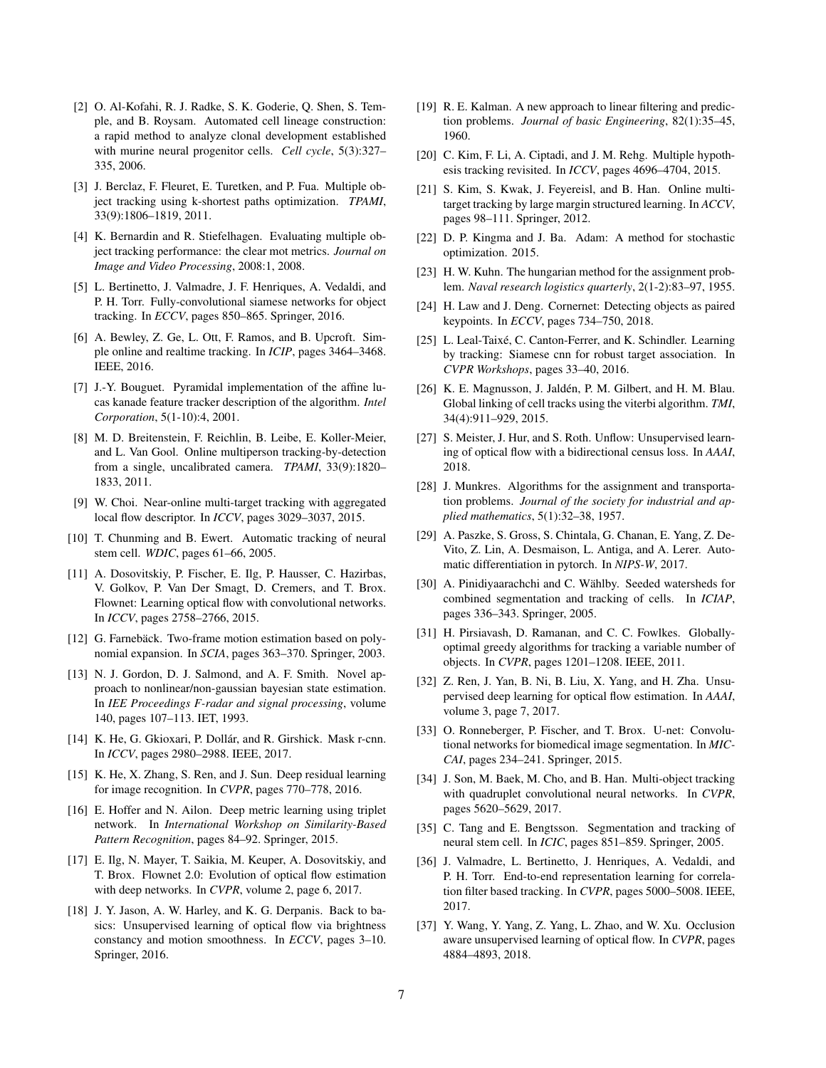- [2] O. Al-Kofahi, R. J. Radke, S. K. Goderie, Q. Shen, S. Temple, and B. Roysam. Automated cell lineage construction: a rapid method to analyze clonal development established with murine neural progenitor cells. *Cell cycle*, 5(3):327– 335, 2006.
- [3] J. Berclaz, F. Fleuret, E. Turetken, and P. Fua. Multiple object tracking using k-shortest paths optimization. *TPAMI*, 33(9):1806–1819, 2011.
- [4] K. Bernardin and R. Stiefelhagen. Evaluating multiple object tracking performance: the clear mot metrics. *Journal on Image and Video Processing*, 2008:1, 2008.
- [5] L. Bertinetto, J. Valmadre, J. F. Henriques, A. Vedaldi, and P. H. Torr. Fully-convolutional siamese networks for object tracking. In *ECCV*, pages 850–865. Springer, 2016.
- [6] A. Bewley, Z. Ge, L. Ott, F. Ramos, and B. Upcroft. Simple online and realtime tracking. In *ICIP*, pages 3464–3468. IEEE, 2016.
- [7] J.-Y. Bouguet. Pyramidal implementation of the affine lucas kanade feature tracker description of the algorithm. *Intel Corporation*, 5(1-10):4, 2001.
- [8] M. D. Breitenstein, F. Reichlin, B. Leibe, E. Koller-Meier, and L. Van Gool. Online multiperson tracking-by-detection from a single, uncalibrated camera. *TPAMI*, 33(9):1820– 1833, 2011.
- [9] W. Choi. Near-online multi-target tracking with aggregated local flow descriptor. In *ICCV*, pages 3029–3037, 2015.
- [10] T. Chunming and B. Ewert. Automatic tracking of neural stem cell. *WDIC*, pages 61–66, 2005.
- [11] A. Dosovitskiy, P. Fischer, E. Ilg, P. Hausser, C. Hazirbas, V. Golkov, P. Van Der Smagt, D. Cremers, and T. Brox. Flownet: Learning optical flow with convolutional networks. In *ICCV*, pages 2758–2766, 2015.
- [12] G. Farnebäck. Two-frame motion estimation based on polynomial expansion. In *SCIA*, pages 363–370. Springer, 2003.
- [13] N. J. Gordon, D. J. Salmond, and A. F. Smith. Novel approach to nonlinear/non-gaussian bayesian state estimation. In *IEE Proceedings F-radar and signal processing*, volume 140, pages 107–113. IET, 1993.
- [14] K. He, G. Gkioxari, P. Dollár, and R. Girshick. Mask r-cnn. In *ICCV*, pages 2980–2988. IEEE, 2017.
- [15] K. He, X. Zhang, S. Ren, and J. Sun. Deep residual learning for image recognition. In *CVPR*, pages 770–778, 2016.
- [16] E. Hoffer and N. Ailon. Deep metric learning using triplet network. In *International Workshop on Similarity-Based Pattern Recognition*, pages 84–92. Springer, 2015.
- [17] E. Ilg, N. Mayer, T. Saikia, M. Keuper, A. Dosovitskiy, and T. Brox. Flownet 2.0: Evolution of optical flow estimation with deep networks. In *CVPR*, volume 2, page 6, 2017.
- [18] J. Y. Jason, A. W. Harley, and K. G. Derpanis. Back to basics: Unsupervised learning of optical flow via brightness constancy and motion smoothness. In *ECCV*, pages 3–10. Springer, 2016.
- [19] R. E. Kalman. A new approach to linear filtering and prediction problems. *Journal of basic Engineering*, 82(1):35–45, 1960.
- [20] C. Kim, F. Li, A. Ciptadi, and J. M. Rehg. Multiple hypothesis tracking revisited. In *ICCV*, pages 4696–4704, 2015.
- [21] S. Kim, S. Kwak, J. Feyereisl, and B. Han. Online multitarget tracking by large margin structured learning. In *ACCV*, pages 98–111. Springer, 2012.
- [22] D. P. Kingma and J. Ba. Adam: A method for stochastic optimization. 2015.
- [23] H. W. Kuhn. The hungarian method for the assignment problem. *Naval research logistics quarterly*, 2(1-2):83–97, 1955.
- [24] H. Law and J. Deng. Cornernet: Detecting objects as paired keypoints. In *ECCV*, pages 734–750, 2018.
- [25] L. Leal-Taixé, C. Canton-Ferrer, and K. Schindler. Learning by tracking: Siamese cnn for robust target association. In *CVPR Workshops*, pages 33–40, 2016.
- [26] K. E. Magnusson, J. Jaldén, P. M. Gilbert, and H. M. Blau. Global linking of cell tracks using the viterbi algorithm. *TMI*, 34(4):911–929, 2015.
- [27] S. Meister, J. Hur, and S. Roth. Unflow: Unsupervised learning of optical flow with a bidirectional census loss. In *AAAI*, 2018.
- [28] J. Munkres. Algorithms for the assignment and transportation problems. *Journal of the society for industrial and applied mathematics*, 5(1):32–38, 1957.
- [29] A. Paszke, S. Gross, S. Chintala, G. Chanan, E. Yang, Z. De-Vito, Z. Lin, A. Desmaison, L. Antiga, and A. Lerer. Automatic differentiation in pytorch. In *NIPS-W*, 2017.
- [30] A. Pinidiyaarachchi and C. Wählby. Seeded watersheds for combined segmentation and tracking of cells. In *ICIAP*, pages 336–343. Springer, 2005.
- [31] H. Pirsiavash, D. Ramanan, and C. C. Fowlkes. Globallyoptimal greedy algorithms for tracking a variable number of objects. In *CVPR*, pages 1201–1208. IEEE, 2011.
- [32] Z. Ren, J. Yan, B. Ni, B. Liu, X. Yang, and H. Zha. Unsupervised deep learning for optical flow estimation. In *AAAI*, volume 3, page 7, 2017.
- [33] O. Ronneberger, P. Fischer, and T. Brox. U-net: Convolutional networks for biomedical image segmentation. In *MIC-CAI*, pages 234–241. Springer, 2015.
- [34] J. Son, M. Baek, M. Cho, and B. Han. Multi-object tracking with quadruplet convolutional neural networks. In *CVPR*, pages 5620–5629, 2017.
- [35] C. Tang and E. Bengtsson. Segmentation and tracking of neural stem cell. In *ICIC*, pages 851–859. Springer, 2005.
- [36] J. Valmadre, L. Bertinetto, J. Henriques, A. Vedaldi, and P. H. Torr. End-to-end representation learning for correlation filter based tracking. In *CVPR*, pages 5000–5008. IEEE, 2017.
- [37] Y. Wang, Y. Yang, Z. Yang, L. Zhao, and W. Xu. Occlusion aware unsupervised learning of optical flow. In *CVPR*, pages 4884–4893, 2018.